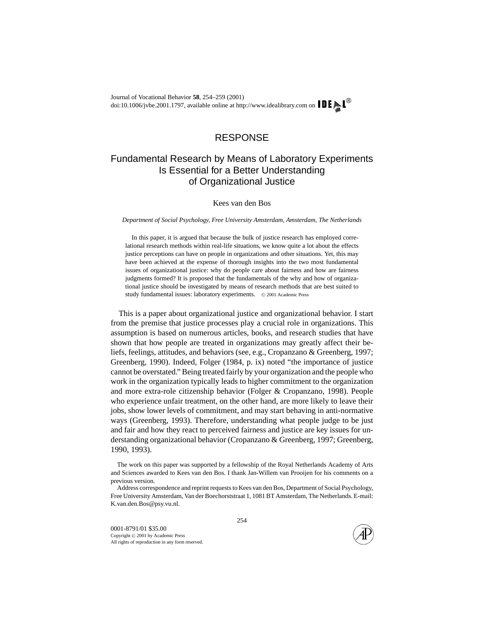# **RESPONSE**

## Fundamental Research by Means of Laboratory Experiments Is Essential for a Better Understanding of Organizational Justice

### Kees van den Bos

#### *Department of Social Psychology, Free University Amsterdam, Amsterdam, The Netherlands*

In this paper, it is argued that because the bulk of justice research has employed correlational research methods within real-life situations, we know quite a lot about the effects justice perceptions can have on people in organizations and other situations. Yet, this may have been achieved at the expense of thorough insights into the two most fundamental issues of organizational justice: why do people care about fairness and how are fairness judgments formed? It is proposed that the fundamentals of the why and how of organizational justice should be investigated by means of research methods that are best suited to study fundamental issues: laboratory experiments. © 2001 Academic Press

This is a paper about organizational justice and organizational behavior. I start from the premise that justice processes play a crucial role in organizations. This assumption is based on numerous articles, books, and research studies that have shown that how people are treated in organizations may greatly affect their beliefs, feelings, attitudes, and behaviors (see, e.g., Cropanzano & Greenberg, 1997; Greenberg, 1990). Indeed, Folger (1984, p. ix) noted "the importance of justice cannot be overstated." Being treated fairly by your organization and the people who work in the organization typically leads to higher commitment to the organization and more extra-role citizenship behavior (Folger & Cropanzano, 1998). People who experience unfair treatment, on the other hand, are more likely to leave their jobs, show lower levels of commitment, and may start behaving in anti-normative ways (Greenberg, 1993). Therefore, understanding what people judge to be just and fair and how they react to perceived fairness and justice are key issues for understanding organizational behavior (Cropanzano & Greenberg, 1997; Greenberg, 1990, 1993).

The work on this paper was supported by a fellowship of the Royal Netherlands Academy of Arts and Sciences awarded to Kees van den Bos. I thank Jan-Willem van Prooijen for his comments on a previous version.

Address correspondence and reprint requests to Kees van den Bos, Department of Social Psychology, Free University Amsterdam, Van der Boechorststraat 1, 1081 BT Amsterdam, The Netherlands. E-mail: K.van.den.Bos@psy.vu.nl.

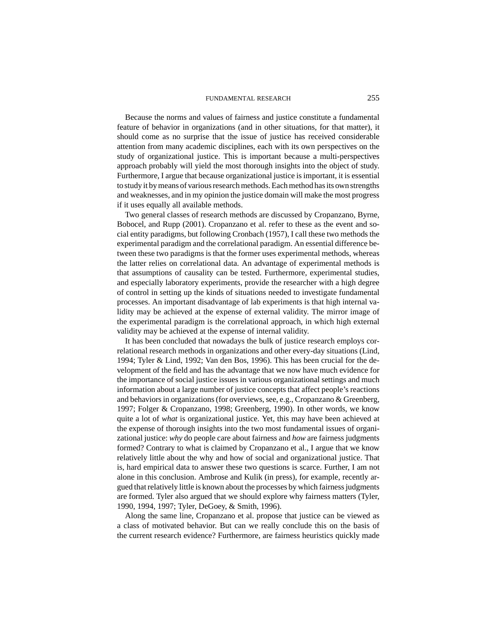Because the norms and values of fairness and justice constitute a fundamental feature of behavior in organizations (and in other situations, for that matter), it should come as no surprise that the issue of justice has received considerable attention from many academic disciplines, each with its own perspectives on the study of organizational justice. This is important because a multi-perspectives approach probably will yield the most thorough insights into the object of study. Furthermore, I argue that because organizational justice is important, it is essential to study it by means of various research methods. Each method has its own strengths and weaknesses, and in my opinion the justice domain will make the most progress if it uses equally all available methods.

Two general classes of research methods are discussed by Cropanzano, Byrne, Bobocel, and Rupp (2001). Cropanzano et al. refer to these as the event and social entity paradigms, but following Cronbach (1957), I call these two methods the experimental paradigm and the correlational paradigm. An essential difference between these two paradigms is that the former uses experimental methods, whereas the latter relies on correlational data. An advantage of experimental methods is that assumptions of causality can be tested. Furthermore, experimental studies, and especially laboratory experiments, provide the researcher with a high degree of control in setting up the kinds of situations needed to investigate fundamental processes. An important disadvantage of lab experiments is that high internal validity may be achieved at the expense of external validity. The mirror image of the experimental paradigm is the correlational approach, in which high external validity may be achieved at the expense of internal validity.

It has been concluded that nowadays the bulk of justice research employs correlational research methods in organizations and other every-day situations (Lind, 1994; Tyler & Lind, 1992; Van den Bos, 1996). This has been crucial for the development of the field and has the advantage that we now have much evidence for the importance of social justice issues in various organizational settings and much information about a large number of justice concepts that affect people's reactions and behaviors in organizations (for overviews, see, e.g., Cropanzano & Greenberg, 1997; Folger & Cropanzano, 1998; Greenberg, 1990). In other words, we know quite a lot of *what* is organizational justice. Yet, this may have been achieved at the expense of thorough insights into the two most fundamental issues of organizational justice: *why* do people care about fairness and *how* are fairness judgments formed? Contrary to what is claimed by Cropanzano et al., I argue that we know relatively little about the why and how of social and organizational justice. That is, hard empirical data to answer these two questions is scarce. Further, I am not alone in this conclusion. Ambrose and Kulik (in press), for example, recently argued that relatively little is known about the processes by which fairness judgments are formed. Tyler also argued that we should explore why fairness matters (Tyler, 1990, 1994, 1997; Tyler, DeGoey, & Smith, 1996).

Along the same line, Cropanzano et al. propose that justice can be viewed as a class of motivated behavior. But can we really conclude this on the basis of the current research evidence? Furthermore, are fairness heuristics quickly made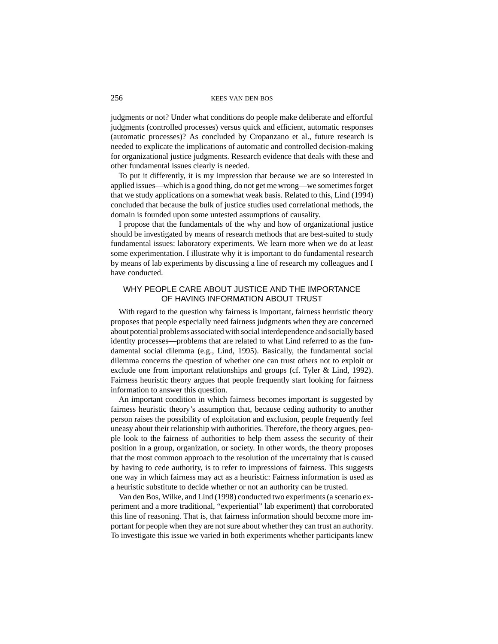judgments or not? Under what conditions do people make deliberate and effortful judgments (controlled processes) versus quick and efficient, automatic responses (automatic processes)? As concluded by Cropanzano et al., future research is needed to explicate the implications of automatic and controlled decision-making for organizational justice judgments. Research evidence that deals with these and other fundamental issues clearly is needed.

To put it differently, it is my impression that because we are so interested in applied issues—which is a good thing, do not get me wrong—we sometimes forget that we study applications on a somewhat weak basis. Related to this, Lind (1994) concluded that because the bulk of justice studies used correlational methods, the domain is founded upon some untested assumptions of causality.

I propose that the fundamentals of the why and how of organizational justice should be investigated by means of research methods that are best-suited to study fundamental issues: laboratory experiments. We learn more when we do at least some experimentation. I illustrate why it is important to do fundamental research by means of lab experiments by discussing a line of research my colleagues and I have conducted.

## WHY PEOPLE CARE ABOUT JUSTICE AND THE IMPORTANCE OF HAVING INFORMATION ABOUT TRUST

With regard to the question why fairness is important, fairness heuristic theory proposes that people especially need fairness judgments when they are concerned about potential problems associated with social interdependence and socially based identity processes—problems that are related to what Lind referred to as the fundamental social dilemma (e.g., Lind, 1995). Basically, the fundamental social dilemma concerns the question of whether one can trust others not to exploit or exclude one from important relationships and groups (cf. Tyler & Lind, 1992). Fairness heuristic theory argues that people frequently start looking for fairness information to answer this question.

An important condition in which fairness becomes important is suggested by fairness heuristic theory's assumption that, because ceding authority to another person raises the possibility of exploitation and exclusion, people frequently feel uneasy about their relationship with authorities. Therefore, the theory argues, people look to the fairness of authorities to help them assess the security of their position in a group, organization, or society. In other words, the theory proposes that the most common approach to the resolution of the uncertainty that is caused by having to cede authority, is to refer to impressions of fairness. This suggests one way in which fairness may act as a heuristic: Fairness information is used as a heuristic substitute to decide whether or not an authority can be trusted.

Van den Bos, Wilke, and Lind (1998) conducted two experiments (a scenario experiment and a more traditional, "experiential" lab experiment) that corroborated this line of reasoning. That is, that fairness information should become more important for people when they are not sure about whether they can trust an authority. To investigate this issue we varied in both experiments whether participants knew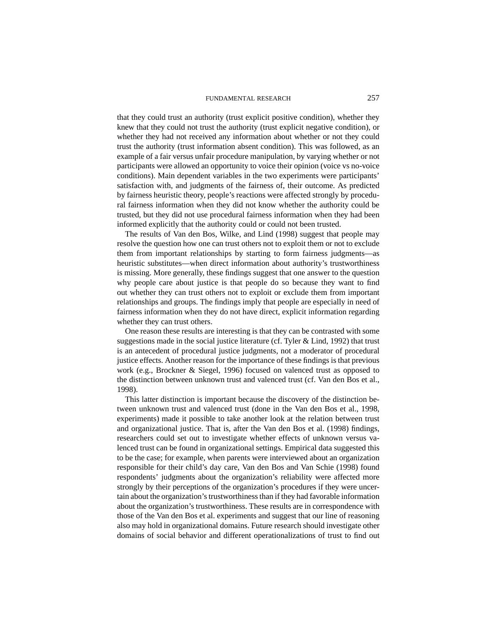that they could trust an authority (trust explicit positive condition), whether they knew that they could not trust the authority (trust explicit negative condition), or whether they had not received any information about whether or not they could trust the authority (trust information absent condition). This was followed, as an example of a fair versus unfair procedure manipulation, by varying whether or not participants were allowed an opportunity to voice their opinion (voice vs no-voice conditions). Main dependent variables in the two experiments were participants' satisfaction with, and judgments of the fairness of, their outcome. As predicted by fairness heuristic theory, people's reactions were affected strongly by procedural fairness information when they did not know whether the authority could be trusted, but they did not use procedural fairness information when they had been informed explicitly that the authority could or could not been trusted.

The results of Van den Bos, Wilke, and Lind (1998) suggest that people may resolve the question how one can trust others not to exploit them or not to exclude them from important relationships by starting to form fairness judgments—as heuristic substitutes—when direct information about authority's trustworthiness is missing. More generally, these findings suggest that one answer to the question why people care about justice is that people do so because they want to find out whether they can trust others not to exploit or exclude them from important relationships and groups. The findings imply that people are especially in need of fairness information when they do not have direct, explicit information regarding whether they can trust others.

One reason these results are interesting is that they can be contrasted with some suggestions made in the social justice literature (cf. Tyler & Lind, 1992) that trust is an antecedent of procedural justice judgments, not a moderator of procedural justice effects. Another reason for the importance of these findings is that previous work (e.g., Brockner & Siegel, 1996) focused on valenced trust as opposed to the distinction between unknown trust and valenced trust (cf. Van den Bos et al., 1998).

This latter distinction is important because the discovery of the distinction between unknown trust and valenced trust (done in the Van den Bos et al., 1998, experiments) made it possible to take another look at the relation between trust and organizational justice. That is, after the Van den Bos et al. (1998) findings, researchers could set out to investigate whether effects of unknown versus valenced trust can be found in organizational settings. Empirical data suggested this to be the case; for example, when parents were interviewed about an organization responsible for their child's day care, Van den Bos and Van Schie (1998) found respondents' judgments about the organization's reliability were affected more strongly by their perceptions of the organization's procedures if they were uncertain about the organization's trustworthiness than if they had favorable information about the organization's trustworthiness. These results are in correspondence with those of the Van den Bos et al. experiments and suggest that our line of reasoning also may hold in organizational domains. Future research should investigate other domains of social behavior and different operationalizations of trust to find out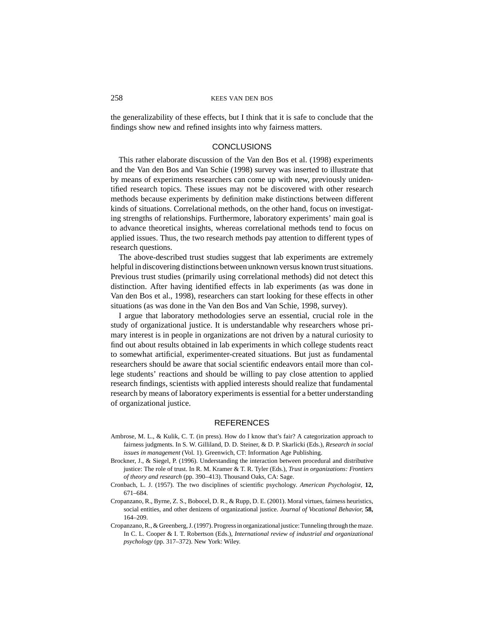the generalizability of these effects, but I think that it is safe to conclude that the findings show new and refined insights into why fairness matters.

## **CONCLUSIONS**

This rather elaborate discussion of the Van den Bos et al. (1998) experiments and the Van den Bos and Van Schie (1998) survey was inserted to illustrate that by means of experiments researchers can come up with new, previously unidentified research topics. These issues may not be discovered with other research methods because experiments by definition make distinctions between different kinds of situations. Correlational methods, on the other hand, focus on investigating strengths of relationships. Furthermore, laboratory experiments' main goal is to advance theoretical insights, whereas correlational methods tend to focus on applied issues. Thus, the two research methods pay attention to different types of research questions.

The above-described trust studies suggest that lab experiments are extremely helpful in discovering distinctions between unknown versus known trust situations. Previous trust studies (primarily using correlational methods) did not detect this distinction. After having identified effects in lab experiments (as was done in Van den Bos et al., 1998), researchers can start looking for these effects in other situations (as was done in the Van den Bos and Van Schie, 1998, survey).

I argue that laboratory methodologies serve an essential, crucial role in the study of organizational justice. It is understandable why researchers whose primary interest is in people in organizations are not driven by a natural curiosity to find out about results obtained in lab experiments in which college students react to somewhat artificial, experimenter-created situations. But just as fundamental researchers should be aware that social scientific endeavors entail more than college students' reactions and should be willing to pay close attention to applied research findings, scientists with applied interests should realize that fundamental research by means of laboratory experiments is essential for a better understanding of organizational justice.

## **REFERENCES**

- Ambrose, M. L., & Kulik, C. T. (in press). How do I know that's fair? A categorization approach to fairness judgments. In S. W. Gilliland, D. D. Steiner, & D. P. Skarlicki (Eds.), *Research in social issues in management* (Vol. 1). Greenwich, CT: Information Age Publishing.
- Brockner, J., & Siegel, P. (1996). Understanding the interaction between procedural and distributive justice: The role of trust. In R. M. Kramer & T. R. Tyler (Eds.), *Trust in organizations: Frontiers of theory and research* (pp. 390–413). Thousand Oaks, CA: Sage.
- Cronbach, L. J. (1957). The two disciplines of scientific psychology. *American Psychologist,* **12,** 671–684.
- Cropanzano, R., Byrne, Z. S., Bobocel, D. R., & Rupp, D. E. (2001). Moral virtues, fairness heuristics, social entities, and other denizens of organizational justice. *Journal of Vocational Behavior,* **58,** 164–209.
- Cropanzano, R., & Greenberg, J. (1997). Progress in organizational justice: Tunneling through the maze. In C. L. Cooper & I. T. Robertson (Eds.), *International review of industrial and organizational psychology* (pp. 317–372). New York: Wiley.